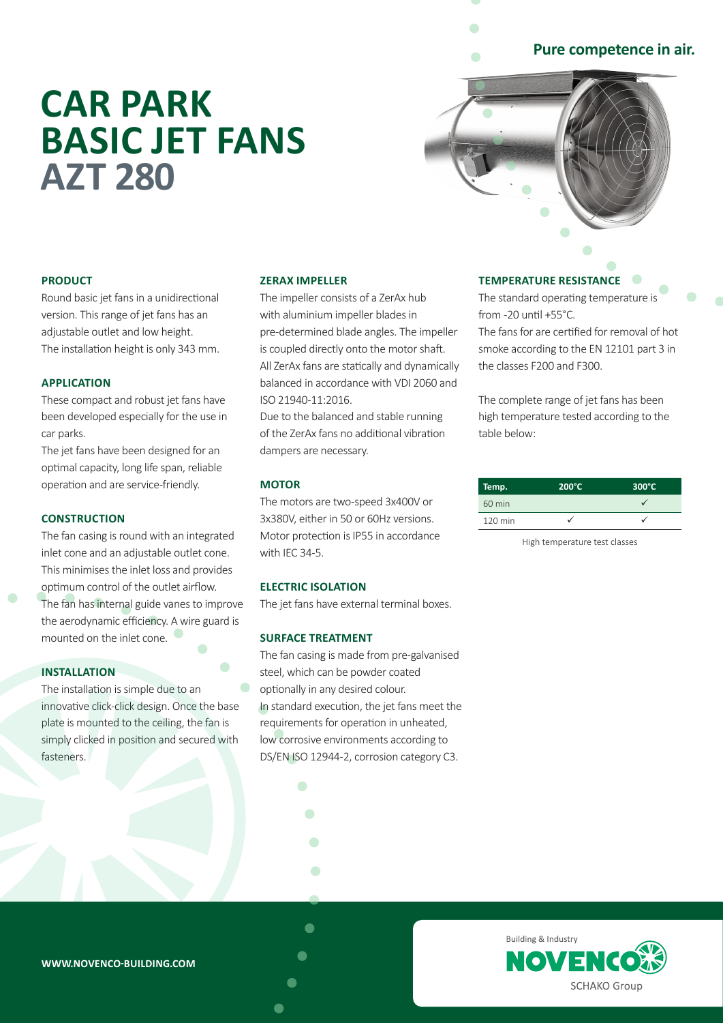# **Pure competence in air.**

# **CAR PARK BASIC JET FANS AZT 280**



## **PRODUCT**

Round basic jet fans in a unidirectional version. This range of jet fans has an adjustable outlet and low height. The installation height is only 343 mm.

#### **APPLICATION**

These compact and robust jet fans have been developed especially for the use in car parks.

The jet fans have been designed for an optimal capacity, long life span, reliable operation and are service-friendly.

## **CONSTRUCTION**

The fan casing is round with an integrated inlet cone and an adjustable outlet cone. This minimises the inlet loss and provides optimum control of the outlet airflow. The fan has internal guide vanes to improve the aerodynamic efficiency. A wire guard is mounted on the inlet cone.

# **INSTALLATION**

The installation is simple due to an innovative click-click design. Once the base plate is mounted to the ceiling, the fan is simply clicked in position and secured with fasteners.

#### **ZERAX IMPELLER**

The impeller consists of a ZerAx hub with aluminium impeller blades in pre-determined blade angles. The impeller is coupled directly onto the motor shaft. All ZerAx fans are statically and dynamically balanced in accordance with VDI 2060 and ISO 21940-11:2016.

Due to the balanced and stable running of the ZerAx fans no additional vibration dampers are necessary.

#### **MOTOR**

The motors are two-speed 3x400V or 3x380V, either in 50 or 60Hz versions. Motor protection is IP55 in accordance with IEC 34-5.

#### **ELECTRIC ISOLATION**

The jet fans have external terminal boxes.

#### **SURFACE TREATMENT**

 $\bullet$ 

 $\overline{\phantom{0}}$ 

 $\bullet$ 

The fan casing is made from pre-galvanised steel, which can be powder coated optionally in any desired colour. In standard execution, the jet fans meet the requirements for operation in unheated, low corrosive environments according to DS/EN ISO 12944-2, corrosion category C3.

#### **TEMPERATURE RESISTANCE**

The standard operating temperature is from -20 until +55°C. The fans for are certified for removal of hot smoke according to the EN 12101 part 3 in

the classes F200 and F300.

The complete range of jet fans has been high temperature tested according to the table below:

| Temp.   | $200^{\circ}$ C | $300^{\circ}$ C |
|---------|-----------------|-----------------|
| 60 min  |                 |                 |
| 120 min |                 |                 |

High temperature test classes